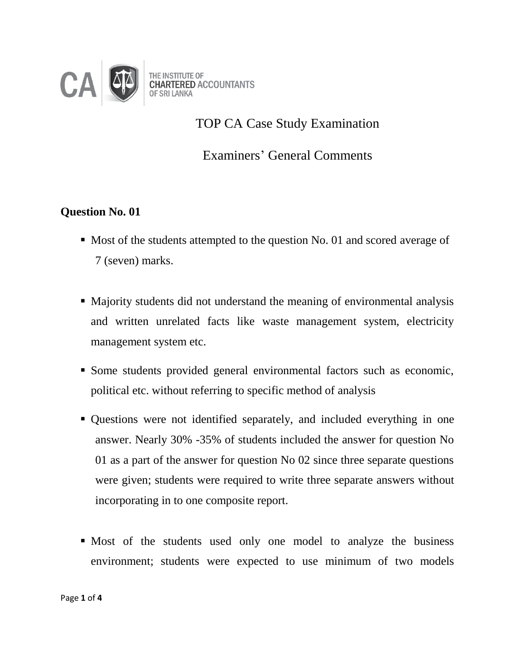

TOP CA Case Study Examination

Examiners' General Comments

## **Question No. 01**

- Most of the students attempted to the question No. 01 and scored average of 7 (seven) marks.
- Majority students did not understand the meaning of environmental analysis and written unrelated facts like waste management system, electricity management system etc.
- Some students provided general environmental factors such as economic, political etc. without referring to specific method of analysis
- Questions were not identified separately, and included everything in one answer. Nearly 30% -35% of students included the answer for question No 01 as a part of the answer for question No 02 since three separate questions were given; students were required to write three separate answers without incorporating in to one composite report.
- Most of the students used only one model to analyze the business environment; students were expected to use minimum of two models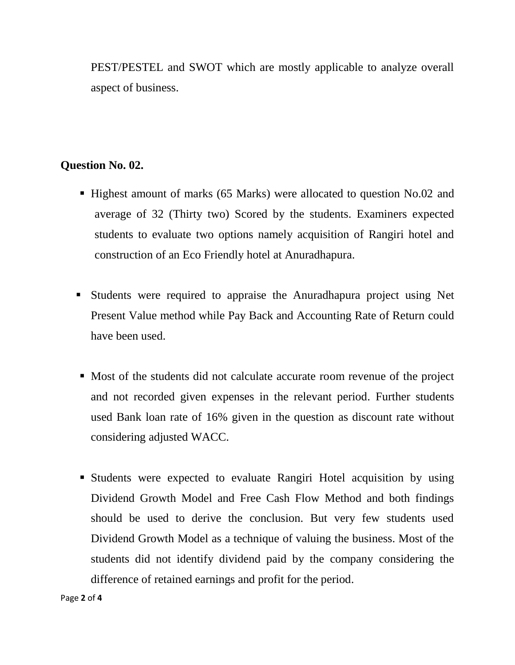PEST/PESTEL and SWOT which are mostly applicable to analyze overall aspect of business.

## **Question No. 02.**

- Highest amount of marks (65 Marks) were allocated to question No.02 and average of 32 (Thirty two) Scored by the students. Examiners expected students to evaluate two options namely acquisition of Rangiri hotel and construction of an Eco Friendly hotel at Anuradhapura.
- Students were required to appraise the Anuradhapura project using Net Present Value method while Pay Back and Accounting Rate of Return could have been used.
- Most of the students did not calculate accurate room revenue of the project and not recorded given expenses in the relevant period. Further students used Bank loan rate of 16% given in the question as discount rate without considering adjusted WACC.
- Students were expected to evaluate Rangiri Hotel acquisition by using Dividend Growth Model and Free Cash Flow Method and both findings should be used to derive the conclusion. But very few students used Dividend Growth Model as a technique of valuing the business. Most of the students did not identify dividend paid by the company considering the difference of retained earnings and profit for the period.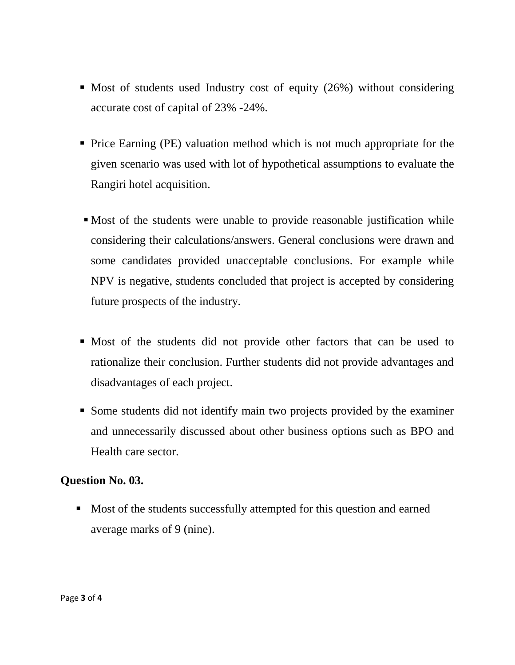- $\blacksquare$  Most of students used Industry cost of equity (26%) without considering accurate cost of capital of 23% -24%.
- Price Earning (PE) valuation method which is not much appropriate for the given scenario was used with lot of hypothetical assumptions to evaluate the Rangiri hotel acquisition.
- Most of the students were unable to provide reasonable justification while considering their calculations/answers. General conclusions were drawn and some candidates provided unacceptable conclusions. For example while NPV is negative, students concluded that project is accepted by considering future prospects of the industry.
- Most of the students did not provide other factors that can be used to rationalize their conclusion. Further students did not provide advantages and disadvantages of each project.
- Some students did not identify main two projects provided by the examiner and unnecessarily discussed about other business options such as BPO and Health care sector.

## **Question No. 03.**

• Most of the students successfully attempted for this question and earned average marks of 9 (nine).